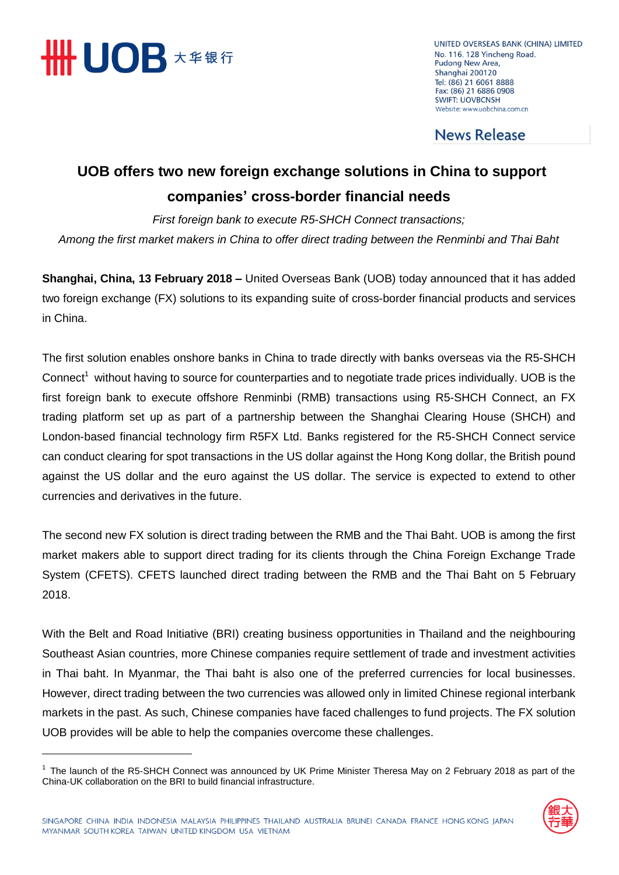

 $\overline{a}$ 

UNITED OVERSEAS BANK (CHINA) LIMITED No. 116, 128 Yincheng Road, Pudong New Area, Shanghai 200120 Tel: (86) 21 6061 8888 Fax: (86) 21 6886 0908 **SWIFT: UOVBCNSH** Website: www.uobchina.com.cn

**News Release** 

## **UOB offers two new foreign exchange solutions in China to support companies' cross-border financial needs**

*First foreign bank to execute R5-SHCH Connect transactions; Among the first market makers in China to offer direct trading between the Renminbi and Thai Baht*

**Shanghai, China, 13 February 2018 –** United Overseas Bank (UOB) today announced that it has added two foreign exchange (FX) solutions to its expanding suite of cross-border financial products and services in China.

The first solution enables onshore banks in China to trade directly with banks overseas via the R5-SHCH Connect<sup>1</sup> without having to source for counterparties and to negotiate trade prices individually. UOB is the first foreign bank to execute offshore Renminbi (RMB) transactions using R5-SHCH Connect, an FX trading platform set up as part of a partnership between the Shanghai Clearing House (SHCH) and London-based financial technology firm R5FX Ltd. Banks registered for the R5-SHCH Connect service can conduct clearing for spot transactions in the US dollar against the Hong Kong dollar, the British pound against the US dollar and the euro against the US dollar. The service is expected to extend to other currencies and derivatives in the future.

The second new FX solution is direct trading between the RMB and the Thai Baht. UOB is among the first market makers able to support direct trading for its clients through the China Foreign Exchange Trade System (CFETS). CFETS launched direct trading between the RMB and the Thai Baht on 5 February 2018.

With the Belt and Road Initiative (BRI) creating business opportunities in Thailand and the neighbouring Southeast Asian countries, more Chinese companies require settlement of trade and investment activities in Thai baht. In Myanmar, the Thai baht is also one of the preferred currencies for local businesses. However, direct trading between the two currencies was allowed only in limited Chinese regional interbank markets in the past. As such, Chinese companies have faced challenges to fund projects. The FX solution UOB provides will be able to help the companies overcome these challenges.

<sup>&</sup>lt;sup>1</sup> The launch of the R5-SHCH Connect was announced by UK Prime Minister Theresa May on 2 February 2018 as part of the China-UK collaboration on the BRI to build financial infrastructure.